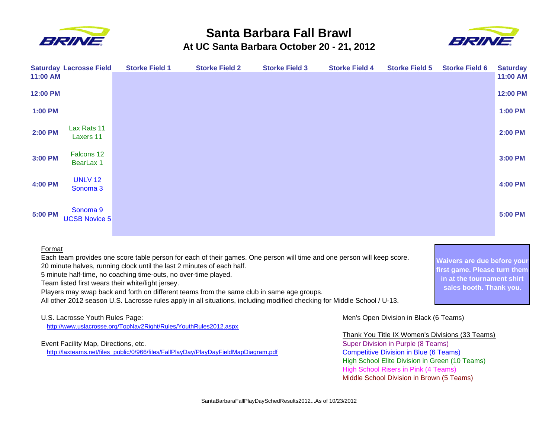

## **Santa Barbara Fall Brawl At UC Santa Barbara October 20 - 21, 2012**



**Waivers are due before your first game. Please turn them in at the tournament shirt sales booth. Thank you.**

| 11:00 AM | <b>Saturday Lacrosse Field</b>        | <b>Storke Field 1</b> | <b>Storke Field 2</b> | <b>Storke Field 3</b> | <b>Storke Field 4</b> | <b>Storke Field 5</b> | <b>Storke Field 6</b> | <b>Saturday</b><br>11:00 AM |
|----------|---------------------------------------|-----------------------|-----------------------|-----------------------|-----------------------|-----------------------|-----------------------|-----------------------------|
| 12:00 PM |                                       |                       |                       |                       |                       |                       |                       | 12:00 PM                    |
| 1:00 PM  |                                       |                       |                       |                       |                       |                       |                       | 1:00 PM                     |
| 2:00 PM  | Lax Rats 11<br>Laxers 11              |                       |                       |                       |                       |                       |                       | <b>2:00 PM</b>              |
| 3:00 PM  | Falcons 12<br>BearLax 1               |                       |                       |                       |                       |                       |                       | 3:00 PM                     |
| 4:00 PM  | <b>UNLV 12</b><br>Sonoma <sub>3</sub> |                       |                       |                       |                       |                       |                       | 4:00 PM                     |
| 5:00 PM  | Sonoma 9<br><b>UCSB Novice 5</b>      |                       |                       |                       |                       |                       |                       | 5:00 PM                     |

## Format

Each team provides one score table person for each of their games. One person will time and one person will keep score. 20 minute halves, running clock until the last 2 minutes of each half.

5 minute half-time, no coaching time-outs, no over-time played.

Team listed first wears their white/light jersey.

Players may swap back and forth on different teams from the same club in same age groups.

All other 2012 season U.S. Lacrosse rules apply in all situations, including modified checking for Middle School / U-13.

http://www.uslacrosse.org/TopNav2Right/Rules/YouthRules2012.aspx

http://laxteams.net/files\_public/0/966/files/FallPlayDay/PlayDayFieldMapDiagram.pdf Competitive Division in Blue (6 Teams)

U.S. Lacrosse Youth Rules Page: Men's Open Division in Black (6 Teams)

## Thank You Title IX Women's Divisions (33 Teams)

Event Facility Map, Directions, etc. Super Division in Purple (8 Teams) High School Elite Division in Green (10 Teams) High School Risers in Pink (4 Teams) Middle School Division in Brown (5 Teams)